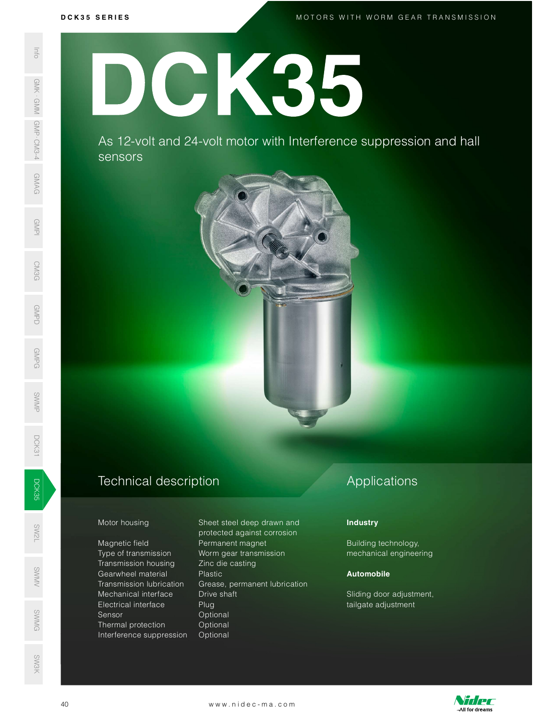M O T O R S W I T H W O R M G E A R T R A N S M I S S I O N

# D C K 3 5 S E R I E S DCK35

As 12 -volt and 24 -volt motor with Interference suppression and hall sensors



Magnetic field **Permanent magnet** Type of transmission Worm gear transmission Transmission housing Zinc die casting Mechanical interface Drive shaft Electrical interface Plug Sensor Optional ©<br>
Sensor Coptional<br>
SMG Defined protection Optional Interference suppression Optional SW<br>No. 1986<br>No. 1986 SWAS 12-VC<br>
SERIES AS 12-VC<br>
SERIES AS 12-VC<br>
SERIES AS 12-VC<br>
SERIES AS 12-VC<br>
SERIES AS 12-VC<br>
SERIES AS 12-VC<br>
Motor housing<br>
Magnetic field<br>
Transmission<br>
Transmission<br>
Mechanical interference s<br>
Series Transmission<br>
T

Motor housing Sheet steel deep drawn and protected against corrosion s<br>Sentang Gearwheel material The Plastic<br>Sentang Transmission lubrication Grease, permanent lubricati Transmission lubrication Grease, permanent lubrication Mechanical interface Drive shaft<br>
Electrical interface Plug<br>
Sensor<br>
Smession Optional<br>
Interference suppression Optional<br>
Interference suppression Optional<br>
WWW.nidec-ma.com

# Applications

## **Industry**

Building technology, mechanical engineering

### Automobile

Sliding door adjustment, tailgate adjustment



SW3K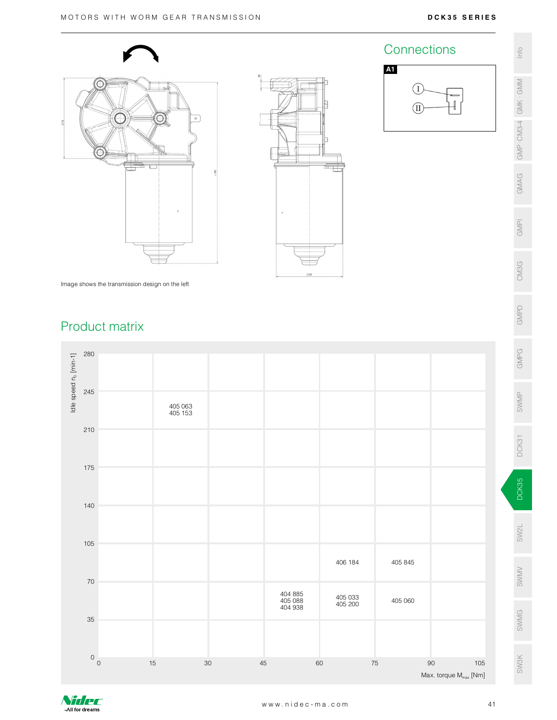Connections e

A1





Image shows the transmission design on the left

# Product matrix



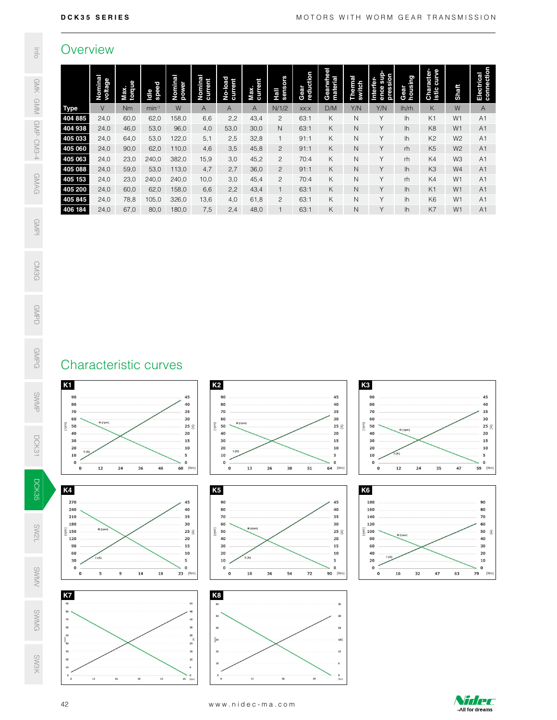## **Overview**

| Gearwheel<br>material<br>Character-<br>istic curve<br>Electrical<br>connection<br>Gear<br>reduction<br>ence sup<br>pression<br>Nominal<br>voltage<br>Gear<br>housing<br>Nominal<br>current<br>Nominal<br>power<br>Hall<br>sensors<br>Thermal<br>switch<br>No-load<br>current<br>Max.<br>current<br>Interfer-<br>Max.<br>torque<br>Idle<br>speed<br>Shaft<br>$\vee$<br>W<br>$\overline{A}$<br>Y/N<br>Y/N<br>W<br>Nm<br>$min-1$<br>$\mathsf{A}$<br>N/1/2<br>D/M<br>K<br>$\mathsf{A}$<br>A<br>XX:X<br>lh/rh<br>24,0<br>43,4<br>K<br>${\sf N}$<br>Y<br>60,0<br>62,0<br>158,0<br>6,6<br>2,2<br>$\overline{c}$<br>63:1<br>K <sub>1</sub><br>W1<br>A <sub>1</sub><br>Ih<br>24,0<br>46,0<br>53,0<br>96,0<br>53,0<br>30,0<br>63:1<br>К<br>$\hbox{N}$<br>Y<br>K8<br>W1<br>4,0<br>$\mathsf N$<br>lh<br>A <sub>1</sub><br>24,0<br>K<br>$\mathsf N$<br>Υ<br>64,0<br>53,0<br>122,0<br>5,1<br>2,5<br>32,8<br>91:1<br>K <sub>2</sub><br>W <sub>2</sub><br>A <sub>1</sub><br>$\mathbf{1}$<br>lh<br>Y<br>К<br>$\hbox{N}$<br>K <sub>5</sub><br>W <sub>2</sub><br>24,0<br>90,0<br>62,0<br>110,0<br>4,6<br>3,5<br>45,8<br>$\mathbf{2}$<br>91:1<br>rh<br>A1<br>Y<br>24,0<br>K<br>${\sf N}$<br>K4<br>23,0<br>240,0<br>382,0<br>15,9<br>3,0<br>45,2<br>$\mathbf{2}$<br>W3<br>A1<br>70:4<br>rh<br>24,0<br>$\overline{c}$<br>Y<br>59,0<br>53,0<br>113,0<br>4,7<br>2,7<br>36,0<br>91:1<br>К<br>${\sf N}$<br>lh<br>K <sub>3</sub><br>W4<br>A1<br>Y<br>$\mathbf{2}$<br>K<br>$\mathsf N$<br>24,0<br>23,0<br>240,0<br>240,0<br>10,0<br>45,4<br>70:4<br>rh<br>K4<br>W <sub>1</sub><br>A <sub>1</sub><br>3,0<br>24,0<br>Y<br>60,0<br>62,0<br>158,0<br>6,6<br>2,2<br>43,4<br>$\mathbf{1}$<br>63:1<br>К<br>$\mathsf{N}$<br>lh<br>K <sub>1</sub><br>W <sub>1</sub><br>A <sub>1</sub><br>Υ<br>24,0<br>78,8<br>105,0<br>326,0<br>13,6<br>$\mathbf{2}$<br>Κ<br>$\mathsf{N}$<br>K <sub>6</sub><br>W1<br>A1<br>4,0<br>61,8<br>63:1<br>lh<br>24,0<br>67,0<br>80,0<br>180,0<br>7,5<br>48,0<br>$\mathbf{1}$<br>63:1<br>К<br>$\mathsf{N}$<br>Υ<br>lh<br>K7<br>W <sub>1</sub><br>A <sub>1</sub><br>2,4<br>K <sub>3</sub><br>K <sub>2</sub><br>90<br>90<br>90<br>45<br>45<br>45<br>╱<br>80<br>80<br>40<br>80<br>40<br>35<br>70<br>35<br>70<br>70<br>35<br>30<br>60<br>30<br>30<br>60<br>60<br>N (rpm)<br>N (rpm)<br>$\widehat{E}$<br>(mu)<br>50<br>25 $\mathfrak{S}$<br>50<br>25 $\widehat{\leq}$<br>50<br>$25 \leq$<br>N (rpm)<br>40<br>40<br>$20\,$<br>40<br>${\bf 20}$<br>$20\,$<br>30<br>15<br>30<br>15<br>30<br>15<br>20<br>10<br>20<br>10<br>20<br>10<br>I(A)<br>I(A)<br>10<br>${\bf 10}$<br>(A)<br>${\bf 5}$<br>10<br>5<br>5<br>$\mathbf 0$<br>$\mathbf 0$<br>o<br>$\mathbf 0$<br>$\mathbf 0$<br>$\mathbf 0$<br>35<br>$12\,$<br>24<br>36<br>60 (Nm)<br>13<br>38<br>51<br>64 (Nm)<br>${\bf 12}$<br>24<br>59 (Nm)<br>$\mathbf{o}$<br>48<br>$\mathbf 0$<br>26<br>$\mathbf 0$<br>47 | 404 885<br>K5<br>K <sub>6</sub><br>180<br>90<br>45<br>90<br>45<br>40<br>40<br>80<br>160<br>80<br>70<br>35<br>140<br>70<br>35<br>30<br>60<br>30<br>120<br>60<br>N (rpm)<br>N (rpm)<br>$(\tau p m)$<br>50<br>$\frac{2}{5}$ 100<br>50<br>$25 \leq$<br>$25 \leq$<br>$\widehat{\mathcal{E}}$<br>N (rpm)<br>20<br>80<br>40<br>40<br>20<br>90<br>15<br>30<br>15<br>60<br>30<br>60<br>20<br>40<br>20<br>10<br>10<br>I(A<br>I(A)<br>I(A)<br>${\bf 20}$<br>5<br>${\bf 10}$<br>10<br>30<br>5<br>$\mathbf 0$<br>$\mathbf 0$<br>$\mathbf 0$<br>$\mathbf 0$<br>$\mathbf 0$<br>$\mathbf 0$<br>14<br>18<br>54<br>${\bf 72}$<br>90 (Nm)<br>32<br>47<br>(Nm)<br>$\mathbf{o}$<br>${\bf 5}$<br>$\mathbf{9}$<br>18<br>$23$ (Nm)<br>$\mathbf{o}$<br>36<br>$\mathbf{o}$<br>16<br>63<br>79 | K8<br>54<br>36<br>50<br>30<br>42<br>36<br>$40\,$<br>$\mathbf{24}$<br>30<br>$\bar{\mathbb{E}}$ 30<br>$\overline{3}$<br>18 <sup>2</sup><br>$\bf 24$<br>$18\,$<br>$12$<br>20<br>$12\,$<br>10<br>$\bf 6$<br>$\mathfrak{o}$<br>52<br>${\bf 13}$<br>$\bf 26$<br>13<br>$\bf 26$<br>39<br>65 (Nm)<br>39<br>$\circ$<br>(n <sub>m</sub> ) | Overview    |  |  |  |  |  |  |  |  |  |
|-----------------------------------------------------------------------------------------------------------------------------------------------------------------------------------------------------------------------------------------------------------------------------------------------------------------------------------------------------------------------------------------------------------------------------------------------------------------------------------------------------------------------------------------------------------------------------------------------------------------------------------------------------------------------------------------------------------------------------------------------------------------------------------------------------------------------------------------------------------------------------------------------------------------------------------------------------------------------------------------------------------------------------------------------------------------------------------------------------------------------------------------------------------------------------------------------------------------------------------------------------------------------------------------------------------------------------------------------------------------------------------------------------------------------------------------------------------------------------------------------------------------------------------------------------------------------------------------------------------------------------------------------------------------------------------------------------------------------------------------------------------------------------------------------------------------------------------------------------------------------------------------------------------------------------------------------------------------------------------------------------------------------------------------------------------------------------------------------------------------------------------------------------------------------------------------------------------------------------------------------------------------------------------------------------------------------------------------------------------------------------------------------------------------------------------------------------------------------------------------------------------------------------------------------------------------------------------------------------------------------------------------------------------------------------------------------------------------------------------------------------------------------------------------------------------------------------------------|--------------------------------------------------------------------------------------------------------------------------------------------------------------------------------------------------------------------------------------------------------------------------------------------------------------------------------------------------------------------------------------------------------------------------------------------------------------------------------------------------------------------------------------------------------------------------------------------------------------------------------------------------------------------------------------------------------------------------------------------------------------------|---------------------------------------------------------------------------------------------------------------------------------------------------------------------------------------------------------------------------------------------------------------------------------------------------------------------------------|-------------|--|--|--|--|--|--|--|--|--|
|                                                                                                                                                                                                                                                                                                                                                                                                                                                                                                                                                                                                                                                                                                                                                                                                                                                                                                                                                                                                                                                                                                                                                                                                                                                                                                                                                                                                                                                                                                                                                                                                                                                                                                                                                                                                                                                                                                                                                                                                                                                                                                                                                                                                                                                                                                                                                                                                                                                                                                                                                                                                                                                                                                                                                                                                                                         |                                                                                                                                                                                                                                                                                                                                                                                                                                                                                                                                                                                                                                                                                                                                                                    |                                                                                                                                                                                                                                                                                                                                 |             |  |  |  |  |  |  |  |  |  |
|                                                                                                                                                                                                                                                                                                                                                                                                                                                                                                                                                                                                                                                                                                                                                                                                                                                                                                                                                                                                                                                                                                                                                                                                                                                                                                                                                                                                                                                                                                                                                                                                                                                                                                                                                                                                                                                                                                                                                                                                                                                                                                                                                                                                                                                                                                                                                                                                                                                                                                                                                                                                                                                                                                                                                                                                                                         | 270<br>240<br>210<br>180<br>120                                                                                                                                                                                                                                                                                                                                                                                                                                                                                                                                                                                                                                                                                                                                    | 404 938<br>$90\,$<br>80<br>$70$<br>60<br>50<br>$\overline{5}$ 40<br>$30\,$<br>${\bf 20}$<br>${\bf 10}$<br>$^{\circ}$ $_{\circ}$                                                                                                                                                                                                 | <b>Type</b> |  |  |  |  |  |  |  |  |  |
|                                                                                                                                                                                                                                                                                                                                                                                                                                                                                                                                                                                                                                                                                                                                                                                                                                                                                                                                                                                                                                                                                                                                                                                                                                                                                                                                                                                                                                                                                                                                                                                                                                                                                                                                                                                                                                                                                                                                                                                                                                                                                                                                                                                                                                                                                                                                                                                                                                                                                                                                                                                                                                                                                                                                                                                                                                         |                                                                                                                                                                                                                                                                                                                                                                                                                                                                                                                                                                                                                                                                                                                                                                    | 405 033<br>405 060<br>405 063<br>405 088<br>405 153<br>405 200<br>405 845<br>406 184<br>Characteristic curves<br><b>K1</b><br>$\mathsf{K}4$<br>50<br>$\mathsf{K}7$                                                                                                                                                              |             |  |  |  |  |  |  |  |  |  |
|                                                                                                                                                                                                                                                                                                                                                                                                                                                                                                                                                                                                                                                                                                                                                                                                                                                                                                                                                                                                                                                                                                                                                                                                                                                                                                                                                                                                                                                                                                                                                                                                                                                                                                                                                                                                                                                                                                                                                                                                                                                                                                                                                                                                                                                                                                                                                                                                                                                                                                                                                                                                                                                                                                                                                                                                                                         |                                                                                                                                                                                                                                                                                                                                                                                                                                                                                                                                                                                                                                                                                                                                                                    |                                                                                                                                                                                                                                                                                                                                 |             |  |  |  |  |  |  |  |  |  |
|                                                                                                                                                                                                                                                                                                                                                                                                                                                                                                                                                                                                                                                                                                                                                                                                                                                                                                                                                                                                                                                                                                                                                                                                                                                                                                                                                                                                                                                                                                                                                                                                                                                                                                                                                                                                                                                                                                                                                                                                                                                                                                                                                                                                                                                                                                                                                                                                                                                                                                                                                                                                                                                                                                                                                                                                                                         |                                                                                                                                                                                                                                                                                                                                                                                                                                                                                                                                                                                                                                                                                                                                                                    |                                                                                                                                                                                                                                                                                                                                 |             |  |  |  |  |  |  |  |  |  |
|                                                                                                                                                                                                                                                                                                                                                                                                                                                                                                                                                                                                                                                                                                                                                                                                                                                                                                                                                                                                                                                                                                                                                                                                                                                                                                                                                                                                                                                                                                                                                                                                                                                                                                                                                                                                                                                                                                                                                                                                                                                                                                                                                                                                                                                                                                                                                                                                                                                                                                                                                                                                                                                                                                                                                                                                                                         |                                                                                                                                                                                                                                                                                                                                                                                                                                                                                                                                                                                                                                                                                                                                                                    |                                                                                                                                                                                                                                                                                                                                 |             |  |  |  |  |  |  |  |  |  |
|                                                                                                                                                                                                                                                                                                                                                                                                                                                                                                                                                                                                                                                                                                                                                                                                                                                                                                                                                                                                                                                                                                                                                                                                                                                                                                                                                                                                                                                                                                                                                                                                                                                                                                                                                                                                                                                                                                                                                                                                                                                                                                                                                                                                                                                                                                                                                                                                                                                                                                                                                                                                                                                                                                                                                                                                                                         |                                                                                                                                                                                                                                                                                                                                                                                                                                                                                                                                                                                                                                                                                                                                                                    |                                                                                                                                                                                                                                                                                                                                 |             |  |  |  |  |  |  |  |  |  |
|                                                                                                                                                                                                                                                                                                                                                                                                                                                                                                                                                                                                                                                                                                                                                                                                                                                                                                                                                                                                                                                                                                                                                                                                                                                                                                                                                                                                                                                                                                                                                                                                                                                                                                                                                                                                                                                                                                                                                                                                                                                                                                                                                                                                                                                                                                                                                                                                                                                                                                                                                                                                                                                                                                                                                                                                                                         |                                                                                                                                                                                                                                                                                                                                                                                                                                                                                                                                                                                                                                                                                                                                                                    |                                                                                                                                                                                                                                                                                                                                 |             |  |  |  |  |  |  |  |  |  |
|                                                                                                                                                                                                                                                                                                                                                                                                                                                                                                                                                                                                                                                                                                                                                                                                                                                                                                                                                                                                                                                                                                                                                                                                                                                                                                                                                                                                                                                                                                                                                                                                                                                                                                                                                                                                                                                                                                                                                                                                                                                                                                                                                                                                                                                                                                                                                                                                                                                                                                                                                                                                                                                                                                                                                                                                                                         |                                                                                                                                                                                                                                                                                                                                                                                                                                                                                                                                                                                                                                                                                                                                                                    |                                                                                                                                                                                                                                                                                                                                 |             |  |  |  |  |  |  |  |  |  |
|                                                                                                                                                                                                                                                                                                                                                                                                                                                                                                                                                                                                                                                                                                                                                                                                                                                                                                                                                                                                                                                                                                                                                                                                                                                                                                                                                                                                                                                                                                                                                                                                                                                                                                                                                                                                                                                                                                                                                                                                                                                                                                                                                                                                                                                                                                                                                                                                                                                                                                                                                                                                                                                                                                                                                                                                                                         |                                                                                                                                                                                                                                                                                                                                                                                                                                                                                                                                                                                                                                                                                                                                                                    |                                                                                                                                                                                                                                                                                                                                 |             |  |  |  |  |  |  |  |  |  |
|                                                                                                                                                                                                                                                                                                                                                                                                                                                                                                                                                                                                                                                                                                                                                                                                                                                                                                                                                                                                                                                                                                                                                                                                                                                                                                                                                                                                                                                                                                                                                                                                                                                                                                                                                                                                                                                                                                                                                                                                                                                                                                                                                                                                                                                                                                                                                                                                                                                                                                                                                                                                                                                                                                                                                                                                                                         |                                                                                                                                                                                                                                                                                                                                                                                                                                                                                                                                                                                                                                                                                                                                                                    |                                                                                                                                                                                                                                                                                                                                 |             |  |  |  |  |  |  |  |  |  |